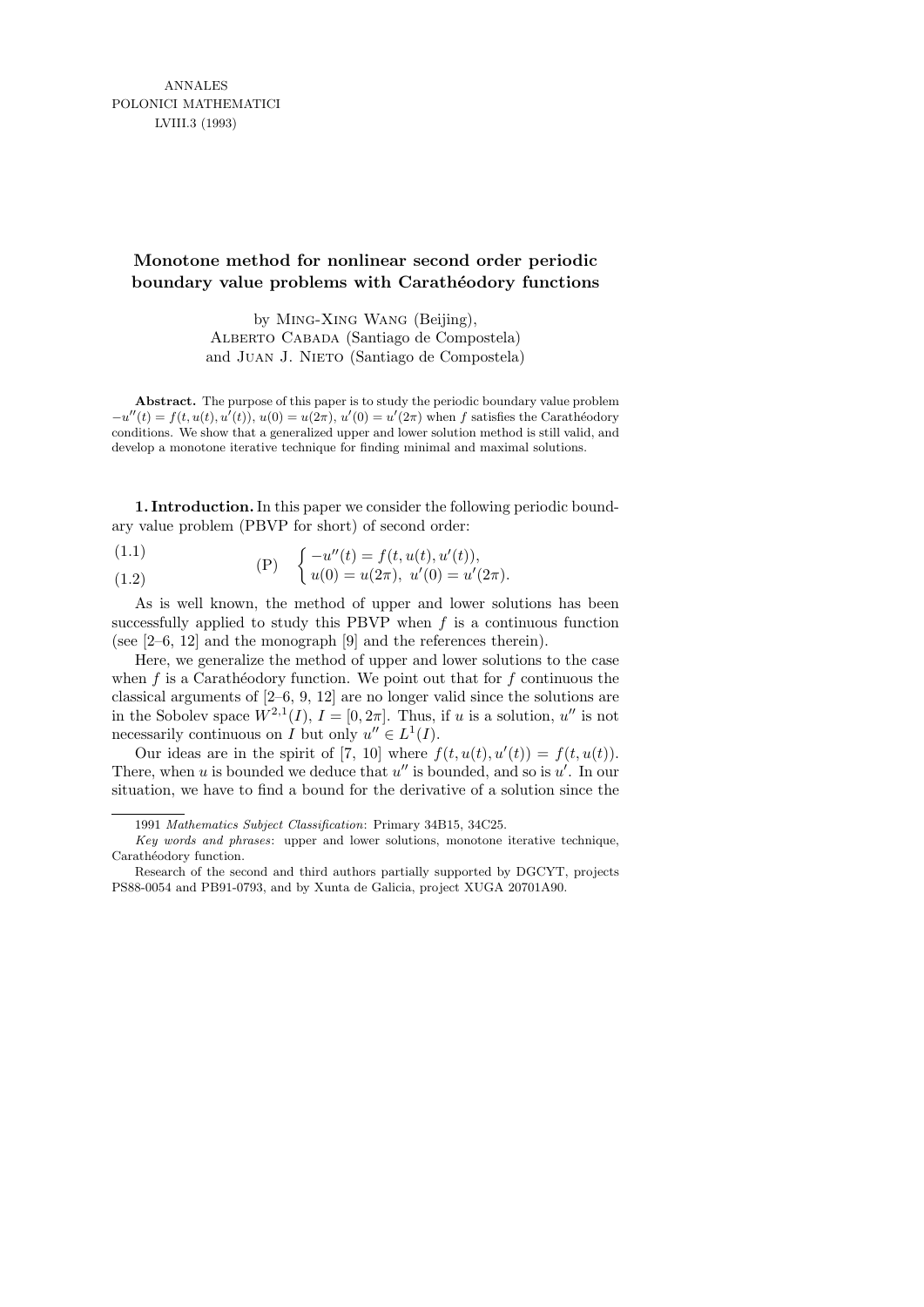## **Monotone method for nonlinear second order periodic boundary value problems with Carathéodory functions**

by Ming-Xing Wang (Beijing), Alberto Cabada (Santiago de Compostela) and Juan J. Nieto (Santiago de Compostela)

**Abstract.** The purpose of this paper is to study the periodic boundary value problem  $-u''(t) = f(t, u(t), u'(t)), u(0) = u(2\pi), u'(0) = u'(2\pi)$  when f satisfies the Carathéodory conditions. We show that a generalized upper and lower solution method is still valid, and develop a monotone iterative technique for finding minimal and maximal solutions.

1. Introduction. In this paper we consider the following periodic boundary value problem (PBVP for short) of second order:

(1.1) 
$$
\begin{array}{cc} (P) & \begin{cases} -u''(t) = f(t, u(t), u'(t)), \\ u(0) & u'(2) \end{cases} \end{array}
$$

(1.2) 
$$
(r) \quad (u(0) = u(2\pi), \ u'(0) = u'(2\pi).
$$

As is well known, the method of upper and lower solutions has been successfully applied to study this PBVP when  $f$  is a continuous function (see [2–6, 12] and the monograph [9] and the references therein).

Here, we generalize the method of upper and lower solutions to the case when  $f$  is a Carathéodory function. We point out that for  $f$  continuous the classical arguments of [2–6, 9, 12] are no longer valid since the solutions are in the Sobolev space  $W^{2,1}(I), I = [0, 2\pi]$ . Thus, if u is a solution, u'' is not necessarily continuous on I but only  $u'' \in L^1(I)$ .

Our ideas are in the spirit of [7, 10] where  $f(t, u(t), u'(t)) = f(t, u(t))$ . There, when u is bounded we deduce that  $u''$  is bounded, and so is  $u'$ . In our situation, we have to find a bound for the derivative of a solution since the

<sup>1991</sup> *Mathematics Subject Classification*: Primary 34B15, 34C25.

*Key words and phrases*: upper and lower solutions, monotone iterative technique, Carathéodory function.

Research of the second and third authors partially supported by DGCYT, projects PS88-0054 and PB91-0793, and by Xunta de Galicia, project XUGA 20701A90.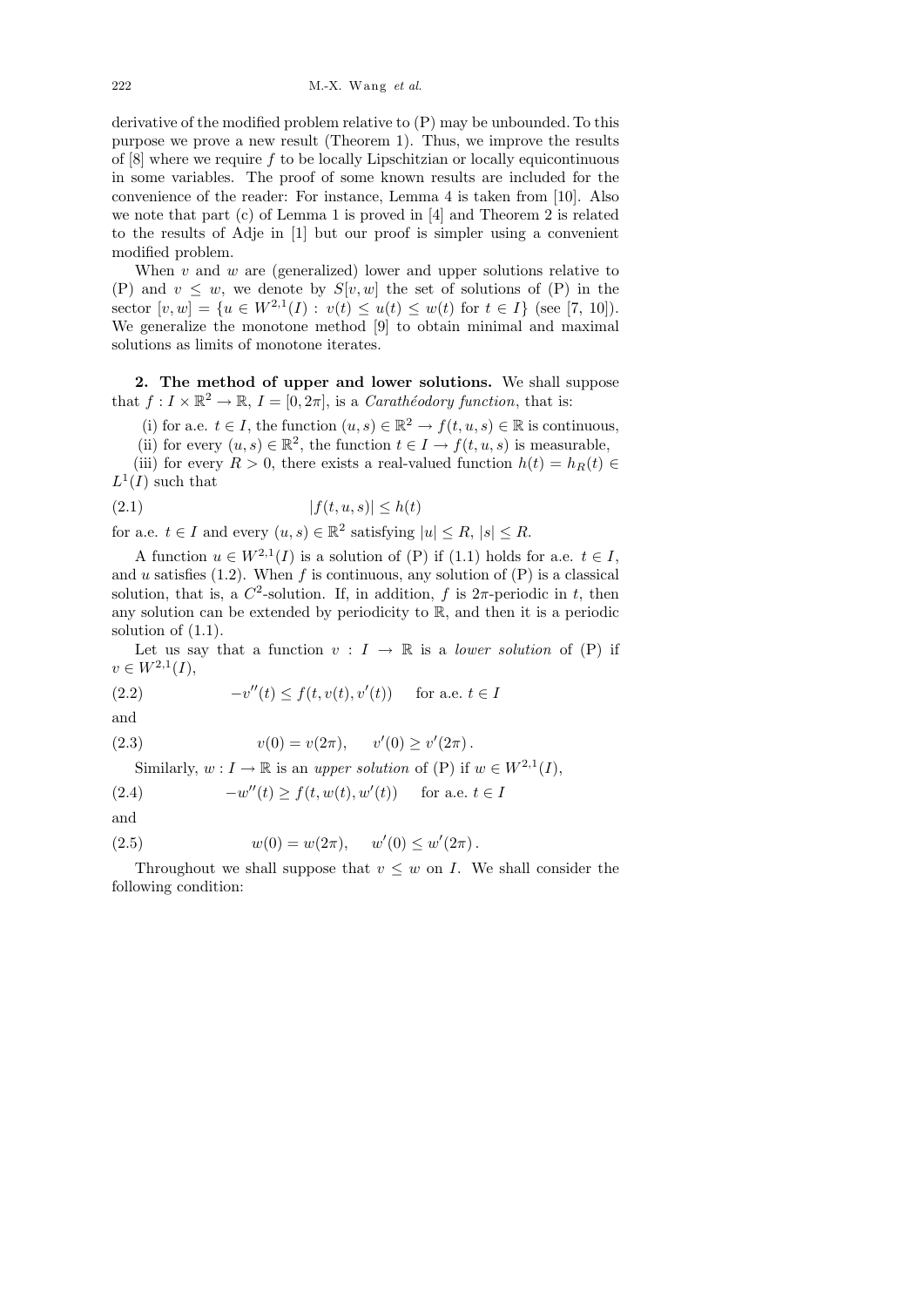222 M.-X. Wang *et al.*

derivative of the modified problem relative to (P) may be unbounded. To this purpose we prove a new result (Theorem 1). Thus, we improve the results of  $[8]$  where we require f to be locally Lipschitzian or locally equicontinuous in some variables. The proof of some known results are included for the convenience of the reader: For instance, Lemma 4 is taken from [10]. Also we note that part (c) of Lemma 1 is proved in [4] and Theorem 2 is related to the results of Adje in [1] but our proof is simpler using a convenient modified problem.

When  $v$  and  $w$  are (generalized) lower and upper solutions relative to (P) and  $v \leq w$ , we denote by  $S[v, w]$  the set of solutions of (P) in the sector  $[v, w] = \{u \in W^{2,1}(I) : v(t) \le u(t) \le w(t) \text{ for } t \in I\} \text{ (see [7, 10])}.$ We generalize the monotone method [9] to obtain minimal and maximal solutions as limits of monotone iterates.

2. The method of upper and lower solutions. We shall suppose that  $f: I \times \mathbb{R}^2 \to \mathbb{R}, I = [0, 2\pi]$ , is a *Carathéodory function*, that is:

(i) for a.e.  $t \in I$ , the function  $(u, s) \in \mathbb{R}^2 \to f(t, u, s) \in \mathbb{R}$  is continuous, (ii) for every  $(u, s) \in \mathbb{R}^2$ , the function  $t \in I \to f(t, u, s)$  is measurable,

(iii) for every  $R > 0$ , there exists a real-valued function  $h(t) = h_R(t) \in$  $L^1(I)$  such that

$$
(2.1) \t\t |f(t, u, s)| \le h(t)
$$

for a.e.  $t \in I$  and every  $(u, s) \in \mathbb{R}^2$  satisfying  $|u| \leq R$ ,  $|s| \leq R$ .

A function  $u \in W^{2,1}(I)$  is a solution of (P) if (1.1) holds for a.e.  $t \in I$ , and u satisfies  $(1.2)$ . When f is continuous, any solution of  $(P)$  is a classical solution, that is, a  $C^2$ -solution. If, in addition, f is  $2\pi$ -periodic in t, then any solution can be extended by periodicity to R, and then it is a periodic solution of (1.1).

Let us say that a function  $v: I \to \mathbb{R}$  is a *lower solution* of (P) if  $v \in W^{2,1}(I),$ 

(2.2) 
$$
-v''(t) \le f(t, v(t), v'(t)) \quad \text{for a.e. } t \in I
$$

and

(2.3) 
$$
v(0) = v(2\pi), \quad v'(0) \ge v'(2\pi).
$$

Similarly,  $w: I \to \mathbb{R}$  is an upper solution of (P) if  $w \in W^{2,1}(I)$ ,

 $(2.4)$  $f'(t) \ge f(t, w(t), w'(t))$  for a.e.  $t \in I$ 

and

(2.5) 
$$
w(0) = w(2\pi), \quad w'(0) \le w'(2\pi).
$$

Throughout we shall suppose that  $v \leq w$  on I. We shall consider the following condition: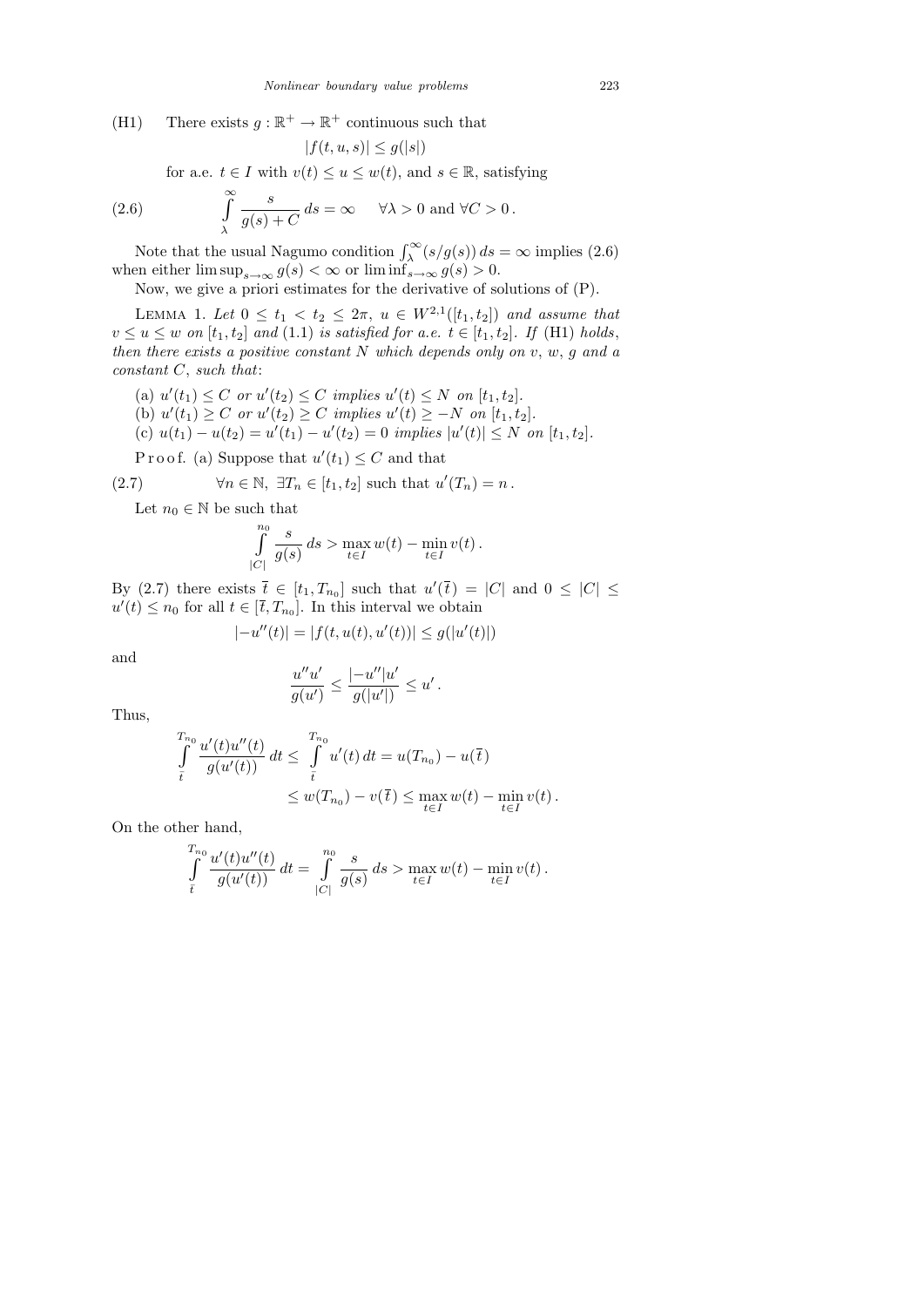(H1) There exists  $g : \mathbb{R}^+ \to \mathbb{R}^+$  continuous such that

$$
|f(t, u, s)| \le g(|s|)
$$
  
for a.e.  $t \in I$  with  $v(t) \le u \le w(t)$ , and  $s \in \mathbb{R}$ , satisfying  
(2.6) 
$$
\int_{0}^{\infty} \frac{s}{g(s) + C} ds = \infty \quad \forall \lambda > 0 \text{ and } \forall C > 0.
$$

λ Note that the usual Nagumo condition  $\int_{\lambda}^{\infty} (s/g(s)) ds = \infty$  implies (2.6) when either  $\limsup_{s\to\infty} g(s) < \infty$  or  $\liminf_{s\to\infty} g(s) > 0$ .

Now, we give a priori estimates for the derivative of solutions of (P).

LEMMA 1. Let  $0 \le t_1 < t_2 \le 2\pi$ ,  $u \in W^{2,1}([t_1, t_2])$  and assume that  $v \le u \le w$  on  $[t_1, t_2]$  and  $(1.1)$  is satisfied for a.e.  $t \in [t_1, t_2]$ . If  $(H1)$  holds, then there exists a positive constant  $N$  which depends only on  $v, w, g$  and a constant  $C$ , such that:

- (a)  $u'(t_1) \leq C$  or  $u'(t_2) \leq C$  implies  $u'(t) \leq N$  on  $[t_1, t_2]$ .
- (b)  $u'(t_1) \ge C$  or  $u'(t_2) \ge C$  implies  $u'(t) \ge -N$  on  $[t_1, t_2]$ .
- (c)  $u(t_1) u(t_2) = u'(t_1) u'(t_2) = 0$  implies  $|u'(t)| \leq N$  on  $[t_1, t_2]$ .

Proof. (a) Suppose that  $u'(t_1) \leq C$  and that

(2.7) 
$$
\forall n \in \mathbb{N}, \ \exists T_n \in [t_1, t_2] \text{ such that } u'(T_n) = n.
$$

Let  $n_0 \in \mathbb{N}$  be such that

$$
\int_{|C|}^{n_0} \frac{s}{g(s)} ds > \max_{t \in I} w(t) - \min_{t \in I} v(t).
$$

By (2.7) there exists  $\bar{t} \in [t_1, T_{n_0}]$  such that  $u'(\bar{t}) = |C|$  and  $0 \leq |C| \leq$  $u'(t) \leq n_0$  for all  $t \in [\bar{t}, T_{n_0}]$ . In this interval we obtain

$$
|-u''(t)| = |f(t, u(t), u'(t))| \le g(|u'(t)|)
$$

and

$$
\frac{u''u'}{g(u')} \le \frac{|-u''|u'}{g(|u'|)} \le u' \, .
$$

Thus,

$$
\int_{\bar{t}}^{T_{n_0}} \frac{u'(t)u''(t)}{g(u'(t))} dt \leq \int_{\bar{t}}^{T_{n_0}} u'(t) dt = u(T_{n_0}) - u(\bar{t})
$$
\n
$$
\leq w(T_{n_0}) - v(\bar{t}) \leq \max_{t \in I} w(t) - \min_{t \in I} v(t).
$$

On the other hand,

$$
\int_{\overline{t}}^{T_{n_0}} \frac{u'(t)u''(t)}{g(u'(t))} dt = \int_{|C|}^{n_0} \frac{s}{g(s)} ds > \max_{t \in I} w(t) - \min_{t \in I} v(t).
$$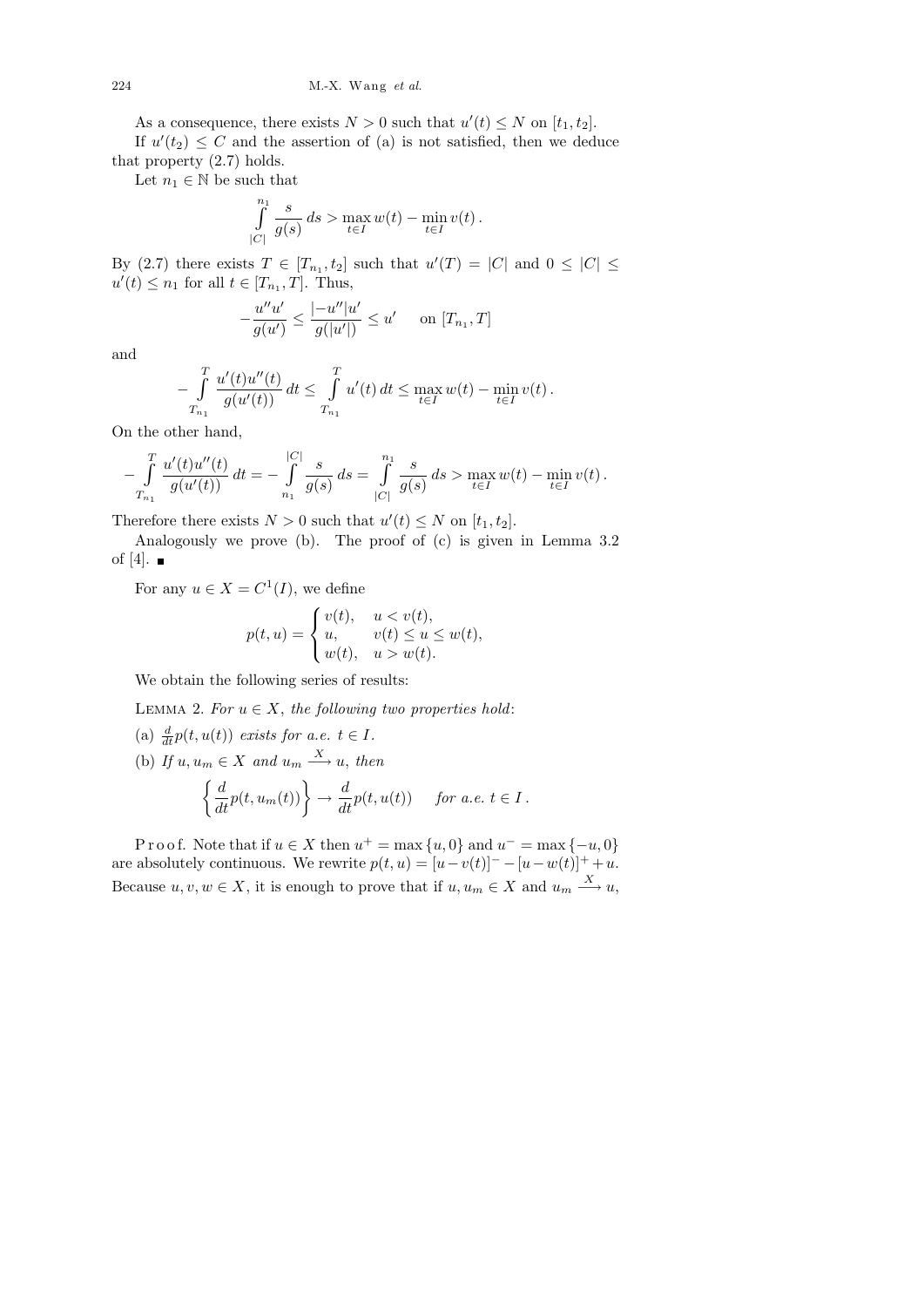As a consequence, there exists  $N > 0$  such that  $u'(t) \leq N$  on  $[t_1, t_2]$ .

If  $u'(t_2) \leq C$  and the assertion of (a) is not satisfied, then we deduce that property (2.7) holds.

Let  $n_1 \in \mathbb{N}$  be such that

$$
\int_{|C|}^{n_1} \frac{s}{g(s)} ds > \max_{t \in I} w(t) - \min_{t \in I} v(t).
$$

By (2.7) there exists  $T \in [T_{n_1}, t_2]$  such that  $u'(T) = |C|$  and  $0 \leq |C| \leq$  $u'(t) \leq n_1$  for all  $t \in [T_{n_1}, T]$ . Thus,

$$
-\frac{u''u'}{g(u')} \le \frac{|-u''|u'}{g(|u'|)} \le u' \quad \text{on } [T_{n_1}, T]
$$

and

$$
-\int_{T_{n_1}}^T \frac{u'(t)u''(t)}{g(u'(t))} dt \le \int_{T_{n_1}}^T u'(t) dt \le \max_{t \in I} w(t) - \min_{t \in I} v(t).
$$

On the other hand,

$$
-\int_{T_{n_1}}^{T} \frac{u'(t)u''(t)}{g(u'(t))} dt = -\int_{n_1}^{|C|} \frac{s}{g(s)} ds = \int_{|C|}^{n_1} \frac{s}{g(s)} ds > \max_{t \in I} w(t) - \min_{t \in I} v(t).
$$

Therefore there exists  $N > 0$  such that  $u'(t) \leq N$  on  $[t_1, t_2]$ .

Analogously we prove (b). The proof of (c) is given in Lemma 3.2 of [4].  $\blacksquare$ 

For any  $u \in X = C^1(I)$ , we define

$$
p(t,u)=\begin{cases}v(t),&uw(t). \end{cases}
$$

We obtain the following series of results:

LEMMA 2. For  $u \in X$ , the following two properties hold:

- (a)  $\frac{d}{dt}p(t, u(t))$  exists for a.e.  $t \in I$ .
- (b) If  $u, u_m \in X$  and  $u_m \xrightarrow{X} u$ , then

$$
\left\{\frac{d}{dt}p(t,u_m(t))\right\} \to \frac{d}{dt}p(t,u(t)) \quad \text{for a.e. } t \in I.
$$

P r o o f. Note that if  $u \in X$  then  $u^+ = \max\{u, 0\}$  and  $u^- = \max\{-u, 0\}$ are absolutely continuous. We rewrite  $p(t, u) = [u - v(t)]^{-} - [u - w(t)]^{+} + u$ . Because  $u, v, w \in X$ , it is enough to prove that if  $u, u_m \in X$  and  $u_m \stackrel{X}{\longrightarrow} u$ ,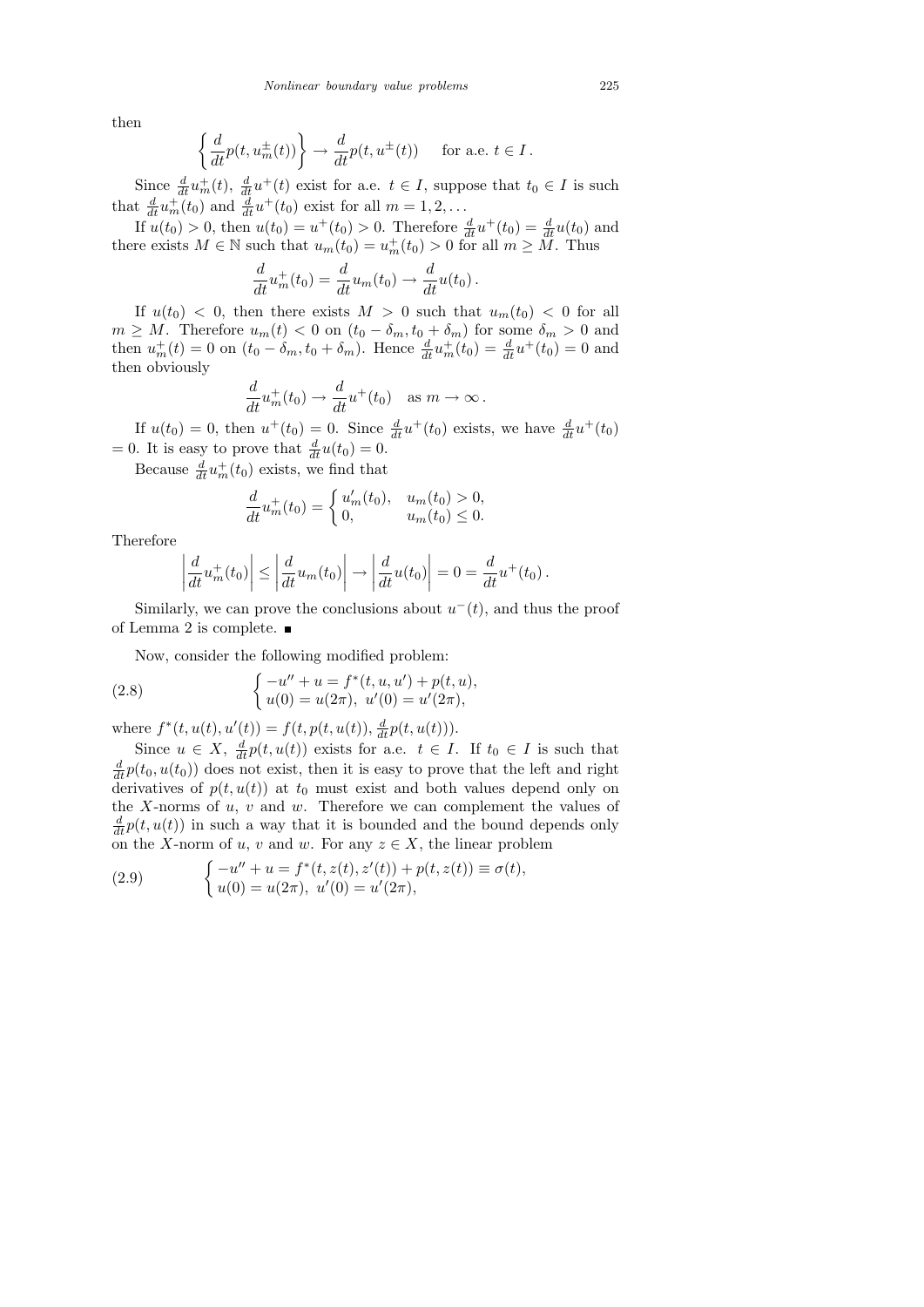then

$$
\left\{\frac{d}{dt}p(t, u_m^{\pm}(t))\right\} \to \frac{d}{dt}p(t, u^{\pm}(t)) \quad \text{for a.e. } t \in I.
$$

Since  $\frac{d}{dt}u_m^+(t)$ ,  $\frac{d}{dt}u^+(t)$  exist for a.e.  $t \in I$ , suppose that  $t_0 \in I$  is such that  $\frac{d}{dt}u_m^+(t_0)$  and  $\frac{d}{dt}u^+(t_0)$  exist for all  $m=1,2,\ldots$ 

If  $u(t_0) > 0$ , then  $u(t_0) = u^+(t_0) > 0$ . Therefore  $\frac{d}{dt}u^+(t_0) = \frac{d}{dt}u(t_0)$  and there exists  $M \in \mathbb{N}$  such that  $u_m(t_0) = u_m^+(t_0) > 0$  for all  $m \geq M$ . Thus

$$
\frac{d}{dt}u_m^+(t_0) = \frac{d}{dt}u_m(t_0) \rightarrow \frac{d}{dt}u(t_0).
$$

If  $u(t_0) < 0$ , then there exists  $M > 0$  such that  $u_m(t_0) < 0$  for all  $m \geq M$ . Therefore  $u_m(t) < 0$  on  $(t_0 - \delta_m, t_0 + \delta_m)$  for some  $\delta_m > 0$  and then  $u_m^+(t) = 0$  on  $(t_0 - \delta_m, t_0 + \delta_m)$ . Hence  $\frac{d}{dt}u_m^+(t_0) = \frac{d}{dt}u^+(t_0) = 0$  and then obviously

$$
\frac{d}{dt}u_m^+(t_0)\to \frac{d}{dt}u^+(t_0)\quad\text{as }m\to\infty\,.
$$

If  $u(t_0) = 0$ , then  $u^+(t_0) = 0$ . Since  $\frac{d}{dt}u^+(t_0)$  exists, we have  $\frac{d}{dt}u^+(t_0)$ = 0. It is easy to prove that  $\frac{d}{dt}u(t_0) = 0$ .

Because  $\frac{d}{dt}u_m^+(t_0)$  exists, we find that

$$
\frac{d}{dt}u_m^+(t_0) = \begin{cases} u'_m(t_0), & u_m(t_0) > 0, \\ 0, & u_m(t_0) \le 0. \end{cases}
$$

Therefore

$$
\left|\frac{d}{dt}u_m^+(t_0)\right| \le \left|\frac{d}{dt}u_m(t_0)\right| \to \left|\frac{d}{dt}u(t_0)\right| = 0 = \frac{d}{dt}u^+(t_0).
$$

Similarly, we can prove the conclusions about  $u^-(t)$ , and thus the proof of Lemma 2 is complete.  $\blacksquare$ 

Now, consider the following modified problem:

(2.8) 
$$
\begin{cases}\n-u'' + u = f^*(t, u, u') + p(t, u), \\
u(0) = u(2\pi), \ u'(0) = u'(2\pi),\n\end{cases}
$$

where  $f^*(t, u(t), u'(t)) = f(t, p(t, u(t)), \frac{d}{dt}p(t, u(t))).$ 

Since  $u \in X$ ,  $\frac{d}{dt}p(t, u(t))$  exists for a.e.  $t \in I$ . If  $t_0 \in I$  is such that  $\frac{d}{dt}p(t_0, u(t_0))$  does not exist, then it is easy to prove that the left and right derivatives of  $p(t, u(t))$  at  $t_0$  must exist and both values depend only on the X-norms of  $u, v$  and  $w$ . Therefore we can complement the values of  $\frac{d}{dt}p(t, u(t))$  in such a way that it is bounded and the bound depends only on the X-norm of u, v and w. For any  $z \in X$ , the linear problem

(2.9) 
$$
\begin{cases} -u'' + u = f^*(t, z(t), z'(t)) + p(t, z(t)) \equiv \sigma(t), \\ u(0) = u(2\pi), u'(0) = u'(2\pi), \end{cases}
$$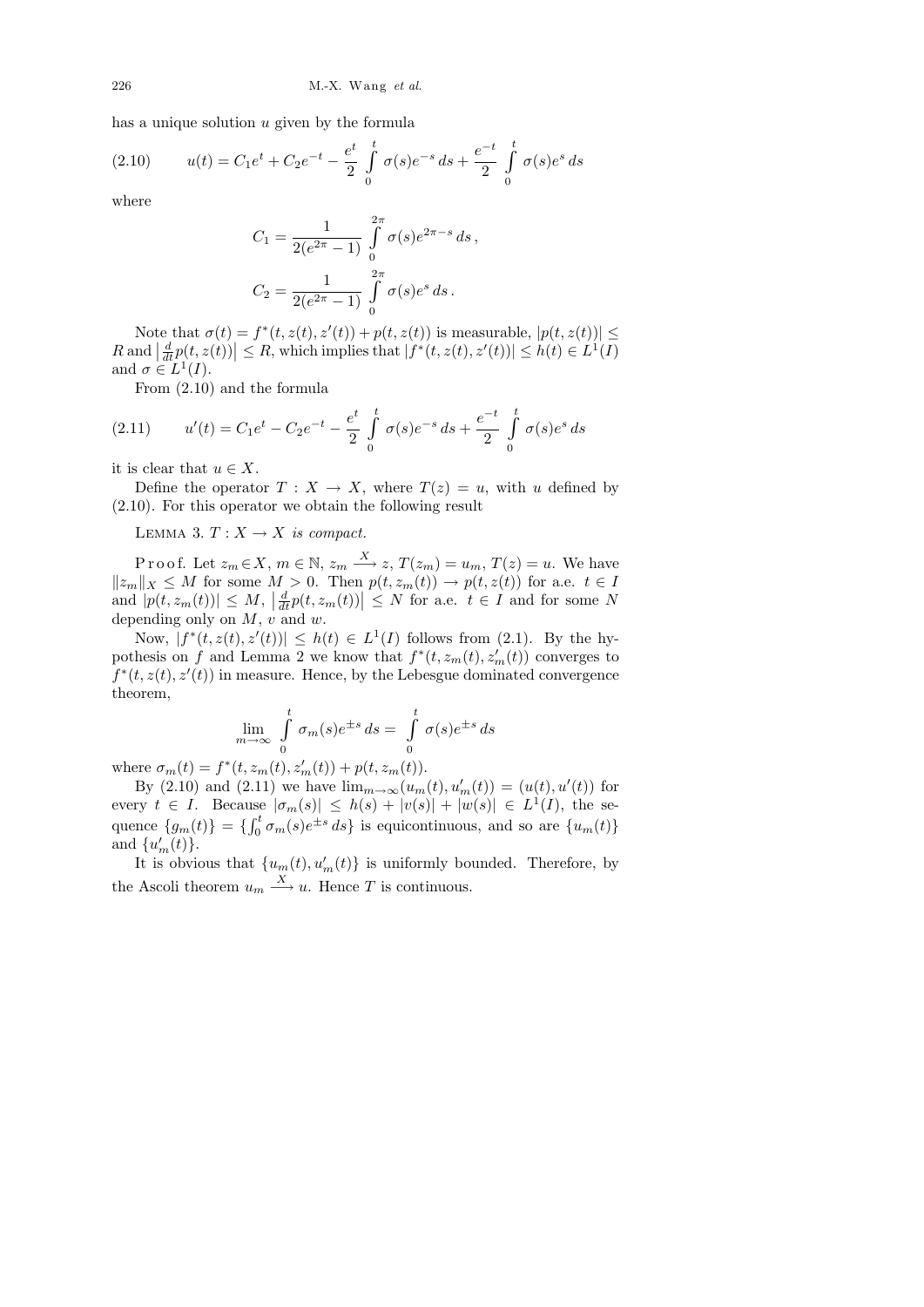has a unique solution  $u$  given by the formula

(2.10) 
$$
u(t) = C_1 e^t + C_2 e^{-t} - \frac{e^t}{2} \int_0^t \sigma(s) e^{-s} ds + \frac{e^{-t}}{2} \int_0^t \sigma(s) e^s ds
$$

where

$$
C_1 = \frac{1}{2(e^{2\pi} - 1)} \int_{0}^{2\pi} \sigma(s)e^{2\pi - s} ds,
$$
  

$$
C_2 = \frac{1}{2(e^{2\pi} - 1)} \int_{0}^{2\pi} \sigma(s)e^{s} ds.
$$

Note that  $\sigma(t) = f^*(t, z(t), z'(t)) + p(t, z(t))$  is measurable,  $|p(t, z(t))| \le$  $R$  and  $\left|\frac{d}{dt}p(t,z(t))\right| \leq R$ , which implies that  $|f^*(t,z(t),z'(t))| \leq h(t) \in L^1(I)$ and  $\sigma \in L^1(I)$ .

From (2.10) and the formula

(2.11) 
$$
u'(t) = C_1 e^t - C_2 e^{-t} - \frac{e^t}{2} \int_0^t \sigma(s) e^{-s} ds + \frac{e^{-t}}{2} \int_0^t \sigma(s) e^s ds
$$

it is clear that  $u \in X$ .

Define the operator  $T : X \to X$ , where  $T(z) = u$ , with u defined by (2.10). For this operator we obtain the following result

LEMMA 3.  $T: X \rightarrow X$  is compact.

P r o o f. Let  $z_m \in X$ ,  $m \in \mathbb{N}$ ,  $z_m \xrightarrow{X} z$ ,  $T(z_m) = u_m$ ,  $T(z) = u$ . We have  $||z_m||_X \leq M$  for some  $M > 0$ . Then  $p(t, z_m(t)) \to p(t, z(t))$  for a.e.  $t \in I$ and  $|p(t, z_m(t))| \leq M$ ,  $\left| \frac{d}{dt} p(t, z_m(t)) \right| \leq N$  for a.e.  $t \in I$  and for some N depending only on  $M$ ,  $v$  and  $w$ .

Now,  $|f^*(t, z(t), z'(t))| \leq h(t) \in L^1(I)$  follows from (2.1). By the hypothesis on f and Lemma 2 we know that  $f^*(t, z_m(t), z'_m(t))$  converges to  $f^*(t, z(t), z'(t))$  in measure. Hence, by the Lebesgue dominated convergence theorem,

$$
\lim_{m \to \infty} \int_{0}^{t} \sigma_m(s) e^{\pm s} ds = \int_{0}^{t} \sigma(s) e^{\pm s} ds
$$

where  $\sigma_m(t) = f^*(t, z_m(t), z'_m(t)) + p(t, z_m(t)).$ 

By (2.10) and (2.11) we have  $\lim_{m \to \infty} (u_m(t), u'_m(t)) = (u(t), u'(t))$  for every  $t \in I$ . Because  $|\sigma_m(s)| \leq h(s) + |v(s)| + |w(s)| \in L^1(I)$ , the sequence  $\{g_m(t)\} = \{\int_0^t \sigma_m(s)e^{\pm s} ds\}$  is equicontinuous, and so are  $\{u_m(t)\}$ and  $\{u'_m(t)\}.$ 

It is obvious that  $\{u_m(t), u'_m(t)\}\$ is uniformly bounded. Therefore, by the Ascoli theorem  $u_m \xrightarrow{X} u$ . Hence T is continuous.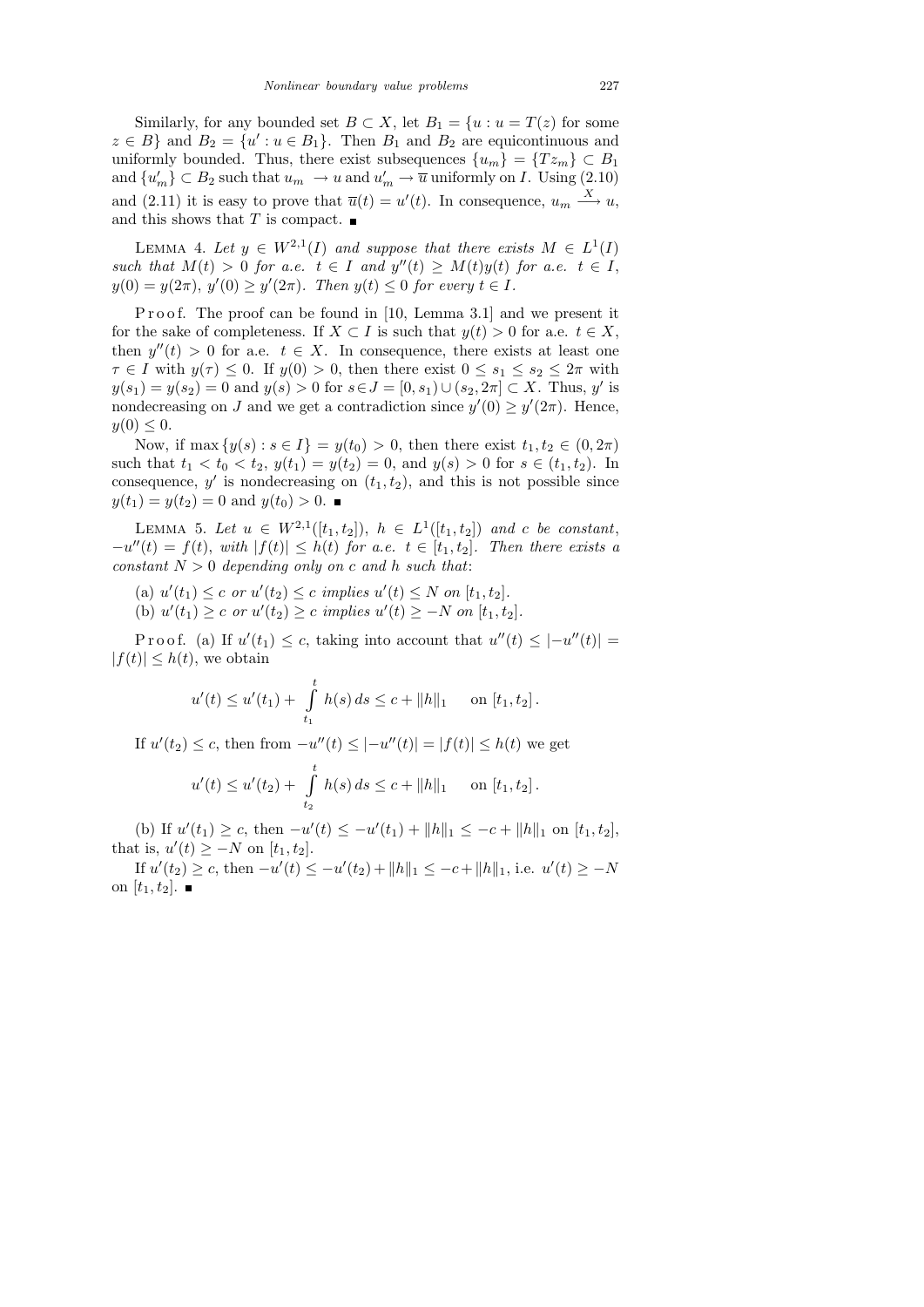Similarly, for any bounded set  $B \subset X$ , let  $B_1 = \{u : u = T(z) \text{ for some }$  $z \in B$ } and  $B_2 = \{u' : u \in B_1\}$ . Then  $B_1$  and  $B_2$  are equicontinuous and uniformly bounded. Thus, there exist subsequences  $\{u_m\} = \{Tz_m\} \subset B_1$ and  $\{u'_m\} \subset B_2$  such that  $u_m \to u$  and  $u'_m \to \overline{u}$  uniformly on *I*. Using (2.10) and (2.11) it is easy to prove that  $\overline{u}(t) = u'(t)$ . In consequence,  $u_m \stackrel{X}{\longrightarrow} u$ , and this shows that T is compact.  $\blacksquare$ 

LEMMA 4. Let  $y \in W^{2,1}(I)$  and suppose that there exists  $M \in L^1(I)$ such that  $M(t) > 0$  for a.e.  $t \in I$  and  $y''(t) \geq M(t)y(t)$  for a.e.  $t \in I$ ,  $y(0) = y(2\pi), y'(0) \ge y'(2\pi)$ . Then  $y(t) \le 0$  for every  $t \in I$ .

P r o o f. The proof can be found in [10, Lemma 3.1] and we present it for the sake of completeness. If  $X \subset I$  is such that  $y(t) > 0$  for a.e.  $t \in X$ , then  $y''(t) > 0$  for a.e.  $t \in X$ . In consequence, there exists at least one  $\tau \in I$  with  $y(\tau) \leq 0$ . If  $y(0) > 0$ , then there exist  $0 \leq s_1 \leq s_2 \leq 2\pi$  with  $y(s_1) = y(s_2) = 0$  and  $y(s) > 0$  for  $s \in J = [0, s_1) \cup (s_2, 2\pi] \subset X$ . Thus, y' is nondecreasing on J and we get a contradiction since  $y'(0) \ge y'(2\pi)$ . Hence,  $y(0) \leq 0.$ 

Now, if max  $\{y(s) : s \in I\} = y(t_0) > 0$ , then there exist  $t_1, t_2 \in (0, 2\pi)$ such that  $t_1 < t_0 < t_2$ ,  $y(t_1) = y(t_2) = 0$ , and  $y(s) > 0$  for  $s \in (t_1, t_2)$ . In consequence,  $y'$  is nondecreasing on  $(t_1, t_2)$ , and this is not possible since  $y(t_1) = y(t_2) = 0$  and  $y(t_0) > 0$ .

LEMMA 5. Let  $u \in W^{2,1}([t_1, t_2]), h \in L^1([t_1, t_2])$  and c be constant,  $-u''(t) = f(t)$ , with  $|f(t)| \leq h(t)$  for a.e.  $t \in [t_1, t_2]$ . Then there exists a constant  $N > 0$  depending only on c and h such that:

(a)  $u'(t_1) \leq c$  or  $u'(t_2) \leq c$  implies  $u'(t) \leq N$  on  $[t_1, t_2]$ . (b)  $u'(t_1) \ge c$  or  $u'(t_2) \ge c$  implies  $u'(t) \ge -N$  on  $[t_1, t_2]$ .

Proof. (a) If  $u'(t_1) \leq c$ , taking into account that  $u''(t) \leq |-u''(t)| =$  $|f(t)| \leq h(t)$ , we obtain

$$
u'(t) \le u'(t_1) + \int_{t_1}^t h(s) ds \le c + ||h||_1 \quad \text{on } [t_1, t_2].
$$

If  $u'(t_2) \leq c$ , then from  $-u''(t) \leq |-u''(t)| = |f(t)| \leq h(t)$  we get  $u'(t) \leq u'(t_2) + \int_0^t$  $h(s) ds \leq c + ||h||_1$  on  $[t_1, t_2]$ .

 $t_2$ 

(b) If  $u'(t_1) \geq c$ , then  $-u'(t) \leq -u'(t_1) + ||h||_1 \leq -c + ||h||_1$  on  $[t_1, t_2]$ , that is,  $u'(t) \ge -N$  on  $[t_1, t_2]$ .

If  $u'(t_2) \geq c$ , then  $-u'(t) \leq -u'(t_2) + ||h||_1 \leq -c + ||h||_1$ , i.e.  $u'(t) \geq -N$ on  $[t_1, t_2]$ .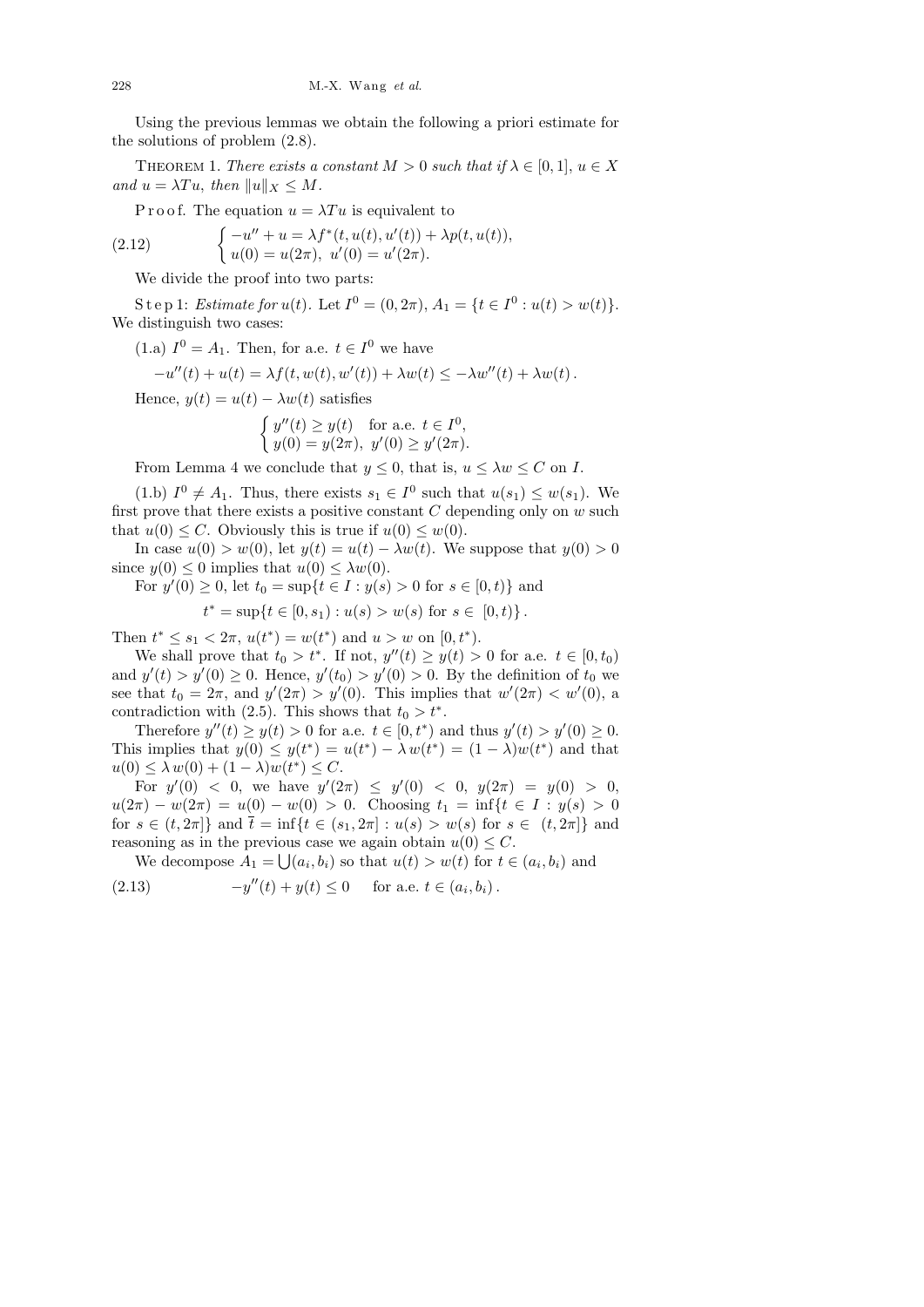Using the previous lemmas we obtain the following a priori estimate for the solutions of problem (2.8).

THEOREM 1. There exists a constant  $M > 0$  such that if  $\lambda \in [0,1], u \in X$ and  $u = \lambda Tu$ , then  $||u||_X \leq M$ .

P r o o f. The equation  $u = \lambda T u$  is equivalent to

(2.12) 
$$
\begin{cases}\n-u'' + u = \lambda f^*(t, u(t), u'(t)) + \lambda p(t, u(t)), \\
u(0) = u(2\pi), u'(0) = u'(2\pi).\n\end{cases}
$$

We divide the proof into two parts:

S t e p 1: Estimate for  $u(t)$ . Let  $I^0 = (0, 2\pi), A_1 = \{t \in I^0 : u(t) > w(t)\}.$ We distinguish two cases:

(1.a)  $I^0 = A_1$ . Then, for a.e.  $t \in I^0$  we have

$$
-u''(t) + u(t) = \lambda f(t, w(t), w'(t)) + \lambda w(t) \leq -\lambda w''(t) + \lambda w(t).
$$

Hence,  $y(t) = u(t) - \lambda w(t)$  satisfies

$$
\begin{cases} y''(t) \ge y(t) & \text{for a.e. } t \in I^0, \\ y(0) = y(2\pi), \ y'(0) \ge y'(2\pi). \end{cases}
$$

From Lemma 4 we conclude that  $y \le 0$ , that is,  $u \le \lambda w \le C$  on I.

(1.b)  $I^0 \neq A_1$ . Thus, there exists  $s_1 \in I^0$  such that  $u(s_1) \leq w(s_1)$ . We first prove that there exists a positive constant  $C$  depending only on  $w$  such that  $u(0) \leq C$ . Obviously this is true if  $u(0) \leq w(0)$ .

In case  $u(0) > w(0)$ , let  $y(t) = u(t) - \lambda w(t)$ . We suppose that  $y(0) > 0$ since  $y(0) \leq 0$  implies that  $u(0) \leq \lambda w(0)$ .

For  $y'(0) \ge 0$ , let  $t_0 = \sup\{t \in I : y(s) > 0 \text{ for } s \in [0, t)\}\$ and

$$
t^* = \sup\{t \in [0, s_1) : u(s) > w(s) \text{ for } s \in [0, t)\}.
$$

Then  $t^* \leq s_1 < 2\pi$ ,  $u(t^*) = w(t^*)$  and  $u > w$  on  $[0, t^*)$ .

We shall prove that  $t_0 > t^*$ . If not,  $y''(t) \ge y(t) > 0$  for a.e.  $t \in [0, t_0)$ and  $y'(t) > y'(0) \ge 0$ . Hence,  $y'(t_0) > y'(0) > 0$ . By the definition of  $t_0$  we see that  $t_0 = 2\pi$ , and  $y'(2\pi) > y'(0)$ . This implies that  $w'(2\pi) < w'(0)$ , a contradiction with (2.5). This shows that  $t_0 > t^*$ .

Therefore  $y''(t) \ge y(t) > 0$  for a.e.  $t \in [0, t^*)$  and thus  $y'(t) > y'(0) \ge 0$ . This implies that  $y(0) \leq y(t^*) = u(t^*) - \lambda w(t^*) = (1 - \lambda)w(t^*)$  and that  $u(0) \leq \lambda w(0) + (1 - \lambda)w(t^*) \leq C.$ 

For  $y'(0) < 0$ , we have  $y'(2\pi) \le y'(0) < 0$ ,  $y(2\pi) = y(0) > 0$ ,  $u(2\pi) - w(2\pi) = u(0) - w(0) > 0$ . Choosing  $t_1 = \inf\{t \in I : y(s) > 0$ for  $s \in (t, 2\pi]$  and  $\bar{t} = \inf\{t \in (s_1, 2\pi] : u(s) > w(s)$  for  $s \in (t, 2\pi]\}$  and reasoning as in the previous case we again obtain  $u(0) \leq C$ .

We decompose  $A_1 = \bigcup (a_i, b_i)$  so that  $u(t) > w(t)$  for  $t \in (a_i, b_i)$  and

(2.13) 
$$
-y''(t) + y(t) \le 0 \quad \text{for a.e. } t \in (a_i, b_i).
$$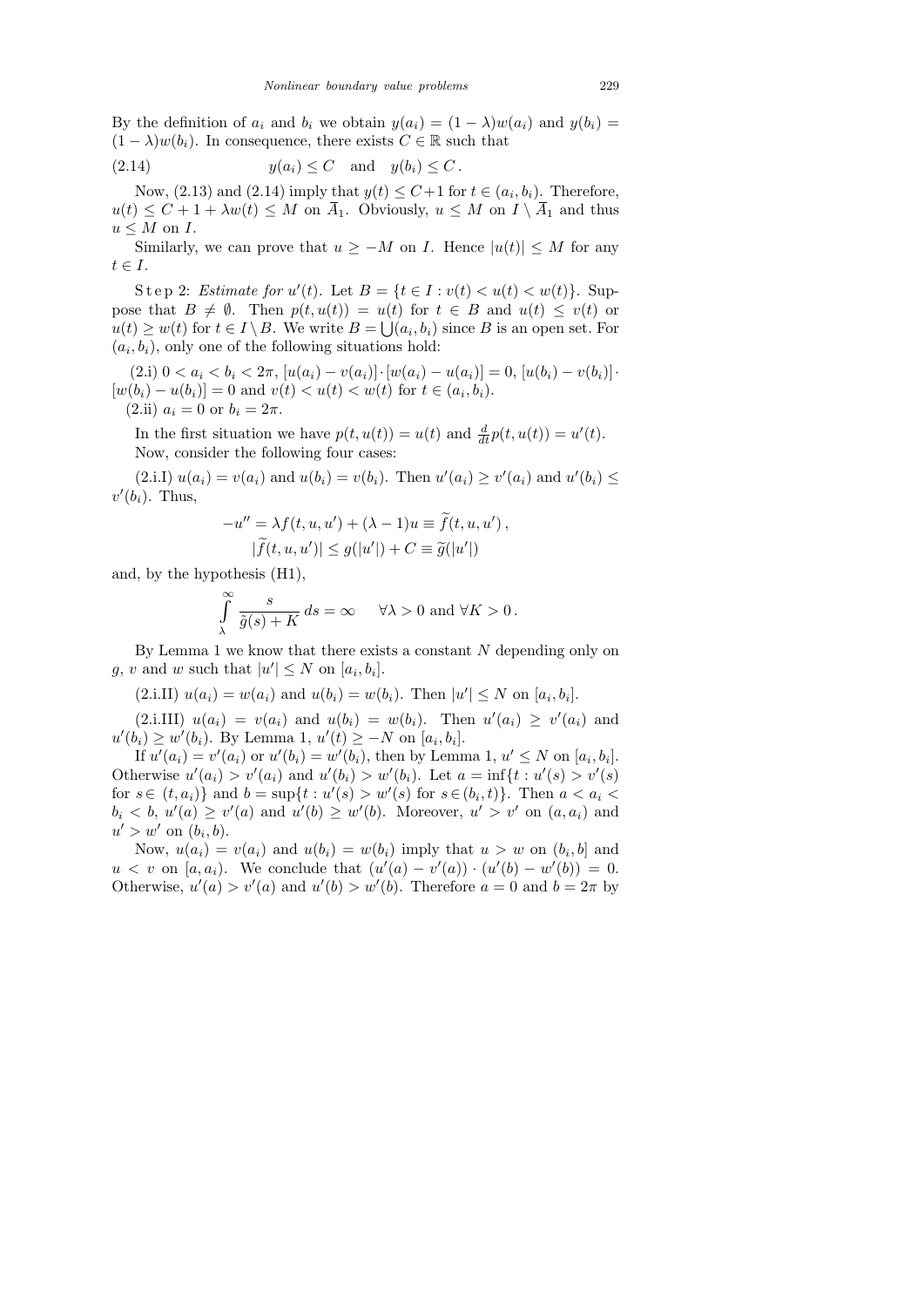By the definition of  $a_i$  and  $b_i$  we obtain  $y(a_i) = (1 - \lambda)w(a_i)$  and  $y(b_i) =$  $(1 - \lambda)w(b_i)$ . In consequence, there exists  $C \in \mathbb{R}$  such that

$$
(2.14) \t y(a_i) \le C \quad \text{and} \quad y(b_i) \le C.
$$

Now, (2.13) and (2.14) imply that  $y(t) \leq C+1$  for  $t \in (a_i, b_i)$ . Therefore,  $u(t) \leq C + 1 + \lambda w(t) \leq M$  on  $\overline{A}_1$ . Obviously,  $u \leq M$  on  $I \setminus \overline{A}_1$  and thus  $u \leq M$  on I.

Similarly, we can prove that  $u \geq -M$  on *I*. Hence  $|u(t)| \leq M$  for any  $t \in I$ .

Step 2: Estimate for  $u'(t)$ . Let  $B = \{t \in I : v(t) < u(t) < w(t)\}$ . Suppose that  $B \neq \emptyset$ . Then  $p(t, u(t)) = u(t)$  for  $t \in B$  and  $u(t) \leq v(t)$  or  $u(t) \geq w(t)$  for  $t \in I \setminus B$ . We write  $B = \bigcup (a_i, b_i)$  since B is an open set. For  $(a_i, b_i)$ , only one of the following situations hold:

(2.i)  $0 < a_i < b_i < 2\pi$ ,  $[u(a_i) - v(a_i)] \cdot [w(a_i) - u(a_i)] = 0$ ,  $[u(b_i) - v(b_i)] \cdot$  $[w(b_i) - u(b_i)] = 0$  and  $v(t) < u(t) < w(t)$  for  $t \in (a_i, b_i)$ . (2.ii)  $a_i = 0$  or  $b_i = 2\pi$ .

In the first situation we have  $p(t, u(t)) = u(t)$  and  $\frac{d}{dt}p(t, u(t)) = u'(t)$ . Now, consider the following four cases:

(2.i.I)  $u(a_i) = v(a_i)$  and  $u(b_i) = v(b_i)$ . Then  $u'(a_i) \ge v'(a_i)$  and  $u'(b_i) \le v'(a_i)$  $v'(b_i)$ . Thus,

$$
-u'' = \lambda f(t, u, u') + (\lambda - 1)u \equiv \tilde{f}(t, u, u'),
$$
  

$$
|\tilde{f}(t, u, u')| \le g(|u'|) + C \equiv \tilde{g}(|u'|)
$$

and, by the hypothesis (H1),

$$
\int_{\lambda}^{\infty} \frac{s}{\tilde{g}(s) + K} ds = \infty \quad \forall \lambda > 0 \text{ and } \forall K > 0.
$$

By Lemma 1 we know that there exists a constant  $N$  depending only on g, v and w such that  $|u'| \leq N$  on  $[a_i, b_i]$ .

 $(2.i.II) u(a_i) = w(a_i)$  and  $u(b_i) = w(b_i)$ . Then  $|u'| \leq N$  on  $[a_i, b_i]$ .

 $(2.i. III)$   $u(a_i) = v(a_i)$  and  $u(b_i) = w(b_i)$ . Then  $u'(a_i) \geq v'(a_i)$  and  $u'(b_i) \geq w'(b_i)$ . By Lemma 1,  $u'(t) \geq -N$  on  $[a_i, b_i]$ .

If  $u'(a_i) = v'(a_i)$  or  $u'(b_i) = w'(b_i)$ , then by Lemma 1,  $u' \le N$  on  $[a_i, b_i]$ . Otherwise  $u'(a_i) > v'(a_i)$  and  $u'(b_i) > w'(b_i)$ . Let  $a = \inf\{t : u'(s) > v'(s)\}$ for  $s \in (t, a_i)$  and  $b = \sup\{t : u'(s) > w'(s)$  for  $s \in (b_i, t)\}$ . Then  $a < a_i$  $b_i < b, u'(a) \ge v'(a)$  and  $u'(b) \ge w'(b)$ . Moreover,  $u' > v'$  on  $(a, a_i)$  and  $u' > w'$  on  $(b_i, b)$ .

Now,  $u(a_i) = v(a_i)$  and  $u(b_i) = w(b_i)$  imply that  $u > w$  on  $(b_i, b]$  and  $u < v$  on [a, a<sub>i</sub>). We conclude that  $(u'(a) - v'(a)) \cdot (u'(b) - w'(b)) = 0$ . Otherwise,  $u'(a) > v'(a)$  and  $u'(b) > w'(b)$ . Therefore  $a = 0$  and  $b = 2\pi$  by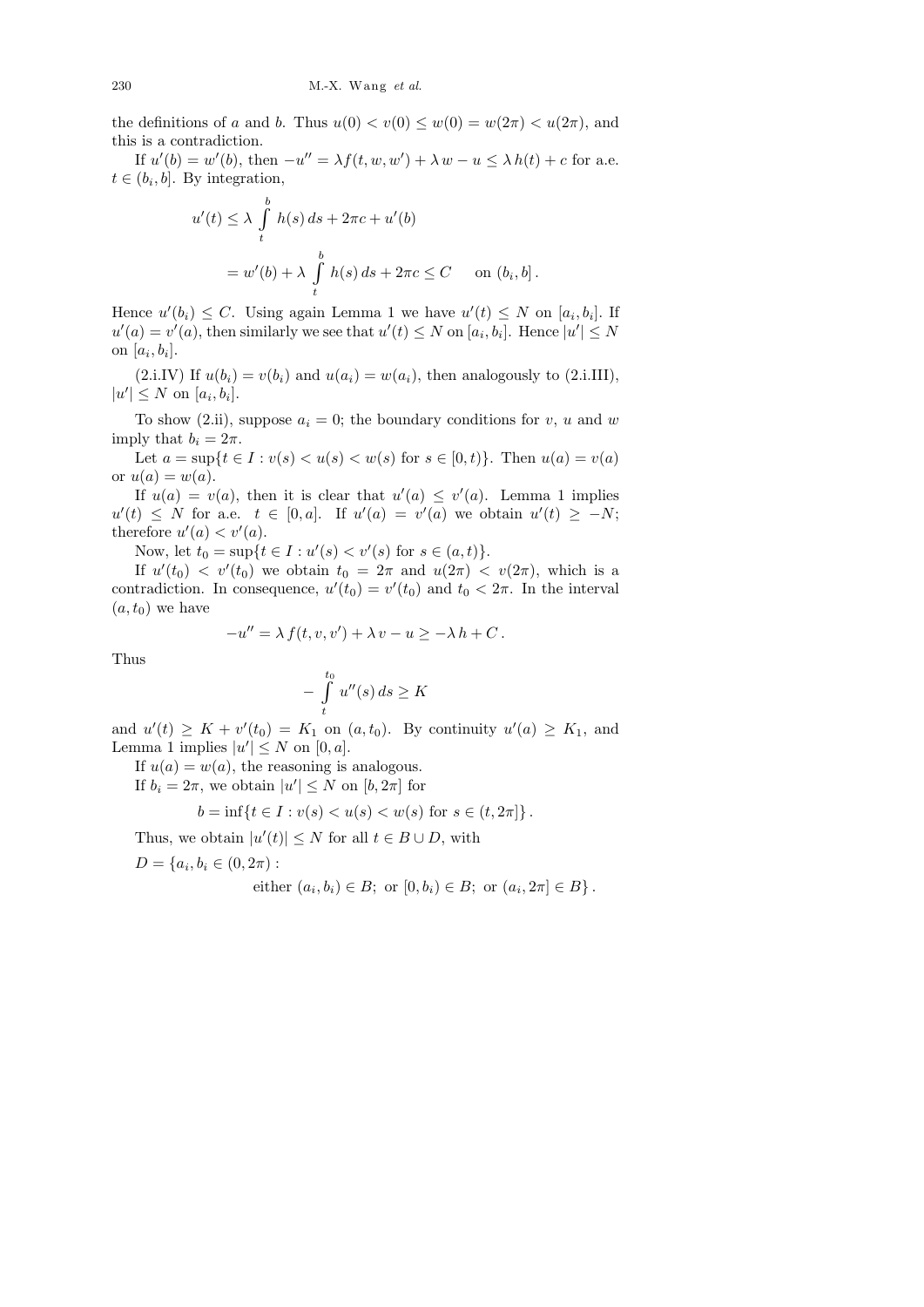the definitions of a and b. Thus  $u(0) < v(0) \leq w(0) = w(2\pi) < u(2\pi)$ , and this is a contradiction.

If  $u'(b) = w'(b)$ , then  $-u'' = \lambda f(t, w, w') + \lambda w - u \leq \lambda h(t) + c$  for a.e.  $t \in (b_i, b]$ . By integration,

$$
u'(t) \leq \lambda \int_{t}^{b} h(s) ds + 2\pi c + u'(b)
$$
  
=  $w'(b) + \lambda \int_{t}^{b} h(s) ds + 2\pi c \leq C$  on  $(b_i, b]$ .

Hence  $u'(b_i) \leq C$ . Using again Lemma 1 we have  $u'(t) \leq N$  on  $[a_i, b_i]$ . If  $u'(a) = v'(a)$ , then similarly we see that  $u'(t) \leq N$  on  $[a_i, b_i]$ . Hence  $|u'| \leq N$ on  $[a_i, b_i]$ .

(2.i.IV) If  $u(b_i) = v(b_i)$  and  $u(a_i) = w(a_i)$ , then analogously to (2.i.III),  $|u'| \leq N$  on  $[a_i, b_i]$ .

To show (2.ii), suppose  $a_i = 0$ ; the boundary conditions for v, u and w imply that  $b_i = 2\pi$ .

Let  $a = \sup\{t \in I : v(s) < u(s) < w(s) \text{ for } s \in [0, t)\}.$  Then  $u(a) = v(a)$ or  $u(a) = w(a)$ .

If  $u(a) = v(a)$ , then it is clear that  $u'(a) \leq v'(a)$ . Lemma 1 implies  $u'(t) \leq N$  for a.e.  $t \in [0, a]$ . If  $u'(a) = v'(a)$  we obtain  $u'(t) \geq -N$ ; therefore  $u'(a) < v'(a)$ .

Now, let  $t_0 = \sup\{t \in I : u'(s) < v'(s) \text{ for } s \in (a, t)\}.$ 

If  $u'(t_0) < v'(t_0)$  we obtain  $t_0 = 2\pi$  and  $u(2\pi) < v(2\pi)$ , which is a contradiction. In consequence,  $u'(t_0) = v'(t_0)$  and  $t_0 < 2\pi$ . In the interval  $(a, t_0)$  we have

$$
-u'' = \lambda f(t, v, v') + \lambda v - u \ge -\lambda h + C.
$$

Thus

$$
-\int\limits_t^{t_0} u''(s) \, ds \ge K
$$

and  $u'(t) \geq K + v'(t_0) = K_1$  on  $(a, t_0)$ . By continuity  $u'(a) \geq K_1$ , and Lemma 1 implies  $|u'| \leq N$  on  $[0, a]$ .

If  $u(a) = w(a)$ , the reasoning is analogous.

If  $b_i = 2\pi$ , we obtain  $|u'| \leq N$  on  $[b, 2\pi]$  for

$$
b = \inf\{t \in I : v(s) < u(s) < w(s) \text{ for } s \in (t, 2\pi]\}.
$$

Thus, we obtain  $|u'(t)| \leq N$  for all  $t \in B \cup D$ , with

$$
D = \{a_i, b_i \in (0, 2\pi) :
$$

either 
$$
(a_i, b_i) \in B
$$
; or  $[0, b_i) \in B$ ; or  $(a_i, 2\pi] \in B$ .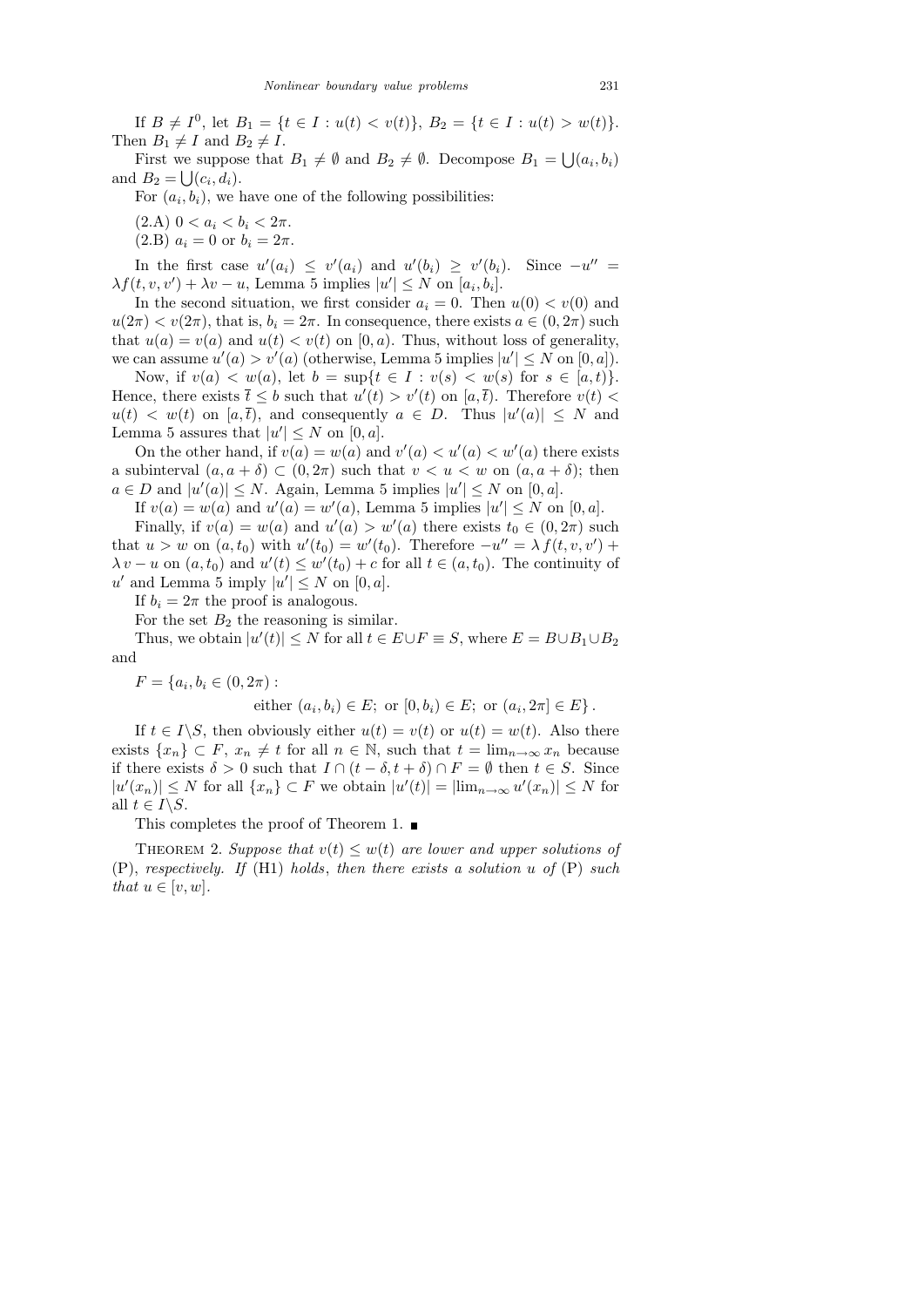If  $B \neq I^0$ , let  $B_1 = \{t \in I : u(t) < v(t)\}, B_2 = \{t \in I : u(t) > w(t)\}.$ Then  $B_1 \neq I$  and  $B_2 \neq I$ .

First we suppose that  $B_1 \neq \emptyset$  and  $B_2 \neq \emptyset$ . Decompose  $B_1 = \bigcup (a_i, b_i)$ and  $B_2 = \bigcup (c_i, d_i)$ .

For  $(a_i, b_i)$ , we have one of the following possibilities:

- (2.A)  $0 < a_i < b_i < 2\pi$ .
- (2.B)  $a_i = 0$  or  $b_i = 2\pi$ .

In the first case  $u'(a_i) \leq v'(a_i)$  and  $u'(b_i) \geq v'(b_i)$ . Since  $-u'' =$  $\lambda f(t, v, v') + \lambda v - u$ , Lemma 5 implies  $|u'| \leq N$  on  $[a_i, b_i]$ .

In the second situation, we first consider  $a_i = 0$ . Then  $u(0) < v(0)$  and  $u(2\pi) < v(2\pi)$ , that is,  $b_i = 2\pi$ . In consequence, there exists  $a \in (0, 2\pi)$  such that  $u(a) = v(a)$  and  $u(t) < v(t)$  on [0, a]. Thus, without loss of generality, we can assume  $u'(a) > v'(a)$  (otherwise, Lemma 5 implies  $|u'| \leq N$  on  $[0, a]$ ).

Now, if  $v(a) < w(a)$ , let  $b = \sup\{t \in I : v(s) < w(s) \text{ for } s \in [a, t)\}.$ Hence, there exists  $\bar{t} \leq b$  such that  $u'(t) > v'(t)$  on  $[a, \bar{t})$ . Therefore  $v(t) <$  $u(t) < w(t)$  on [a, time], and consequently  $a \in D$ . Thus  $|u'(a)| \leq N$  and Lemma 5 assures that  $|u'| \leq N$  on  $[0, a]$ .

On the other hand, if  $v(a) = w(a)$  and  $v'(a) < u'(a) < w'(a)$  there exists a subinterval  $(a, a + \delta) \subset (0, 2\pi)$  such that  $v < u < w$  on  $(a, a + \delta)$ ; then  $a \in D$  and  $|u'(a)| \leq N$ . Again, Lemma 5 implies  $|u'| \leq N$  on  $[0, a]$ .

If  $v(a) = w(a)$  and  $u'(a) = w'(a)$ , Lemma 5 implies  $|u'| \leq N$  on  $[0, a]$ .

Finally, if  $v(a) = w(a)$  and  $u'(a) > w'(a)$  there exists  $t_0 \in (0, 2\pi)$  such that  $u > w$  on  $(a, t_0)$  with  $u'(t_0) = w'(t_0)$ . Therefore  $-u'' = \lambda f(t, v, v')$  +  $\lambda v - u$  on  $(a, t_0)$  and  $u'(t) \leq w'(t_0) + c$  for all  $t \in (a, t_0)$ . The continuity of  $u'$  and Lemma 5 imply  $|u'| \leq N$  on  $[0, a]$ .

If  $b_i = 2\pi$  the proof is analogous.

For the set  $B_2$  the reasoning is similar.

Thus, we obtain  $|u'(t)| \leq N$  for all  $t \in E \cup F \equiv S$ , where  $E = B \cup B_1 \cup B_2$ and

 $F = \{a_i, b_i \in (0, 2\pi) :$ 

either 
$$
(a_i, b_i) \in E
$$
; or  $[0, b_i) \in E$ ; or  $(a_i, 2\pi] \in E$ .

If  $t \in I \backslash S$ , then obviously either  $u(t) = v(t)$  or  $u(t) = w(t)$ . Also there exists  $\{x_n\} \subset F$ ,  $x_n \neq t$  for all  $n \in \mathbb{N}$ , such that  $t = \lim_{n \to \infty} x_n$  because if there exists  $\delta > 0$  such that  $I \cap (t - \delta, t + \delta) \cap F = \emptyset$  then  $t \in S$ . Since  $|u'(x_n)| \leq N$  for all  $\{x_n\} \subset F$  we obtain  $|u'(t)| = |\lim_{n \to \infty} u'(x_n)| \leq N$  for all  $t \in I \backslash S$ .

This completes the proof of Theorem 1.  $\blacksquare$ 

THEOREM 2. Suppose that  $v(t) \leq w(t)$  are lower and upper solutions of (P), respectively. If (H1) holds, then there exists a solution u of  $(P)$  such that  $u \in [v, w]$ .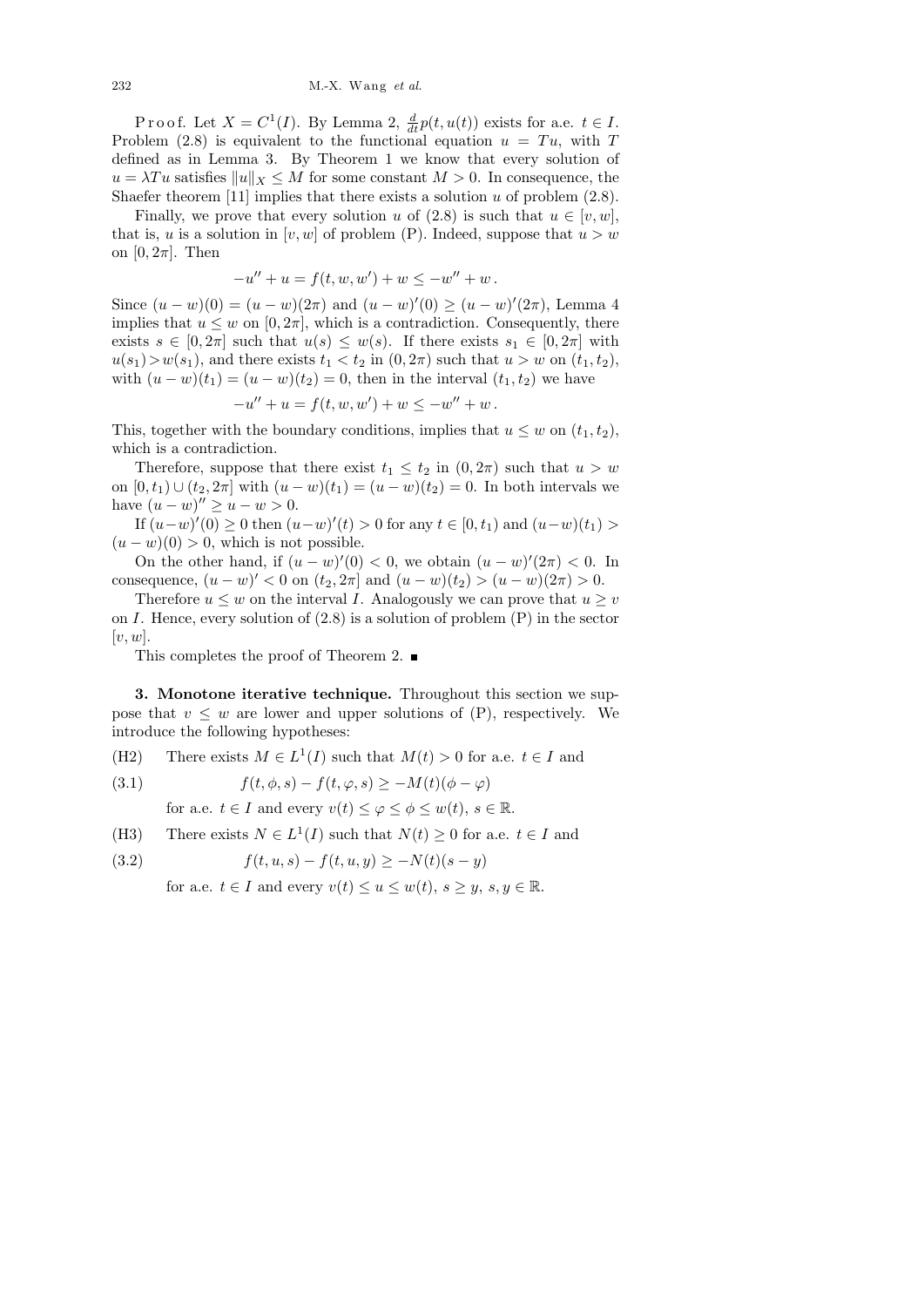Proof. Let  $X = C^1(I)$ . By Lemma 2,  $\frac{d}{dt}p(t, u(t))$  exists for a.e.  $t \in I$ . Problem (2.8) is equivalent to the functional equation  $u = Tu$ , with T defined as in Lemma 3. By Theorem 1 we know that every solution of  $u = \lambda Tu$  satisfies  $||u||_X \leq M$  for some constant  $M > 0$ . In consequence, the Shaefer theorem [11] implies that there exists a solution  $u$  of problem (2.8).

Finally, we prove that every solution u of (2.8) is such that  $u \in [v, w]$ , that is, u is a solution in  $[v, w]$  of problem (P). Indeed, suppose that  $u > w$ on  $[0, 2\pi]$ . Then

$$
-u'' + u = f(t, w, w') + w \le -w'' + w.
$$

Since  $(u - w)(0) = (u - w)(2\pi)$  and  $(u - w)'(0) \ge (u - w)'(2\pi)$ , Lemma 4 implies that  $u \leq w$  on  $[0, 2\pi]$ , which is a contradiction. Consequently, there exists  $s \in [0, 2\pi]$  such that  $u(s) \leq w(s)$ . If there exists  $s_1 \in [0, 2\pi]$  with  $u(s_1) > w(s_1)$ , and there exists  $t_1 < t_2$  in  $(0, 2\pi)$  such that  $u > w$  on  $(t_1, t_2)$ , with  $(u - w)(t_1) = (u - w)(t_2) = 0$ , then in the interval  $(t_1, t_2)$  we have

$$
-u'' + u = f(t, w, w') + w \le -w'' + w.
$$

This, together with the boundary conditions, implies that  $u \leq w$  on  $(t_1, t_2)$ , which is a contradiction.

Therefore, suppose that there exist  $t_1 \leq t_2$  in  $(0, 2\pi)$  such that  $u > w$ on  $[0, t_1) \cup (t_2, 2\pi]$  with  $(u - w)(t_1) = (u - w)(t_2) = 0$ . In both intervals we have  $(u - w)'' \ge u - w > 0$ .

If  $(u-w)'(0) \ge 0$  then  $(u-w)'(t) > 0$  for any  $t \in [0, t_1)$  and  $(u-w)(t_1) > 0$  $(u - w)(0) > 0$ , which is not possible.

On the other hand, if  $(u - w)'(0) < 0$ , we obtain  $(u - w)'(2\pi) < 0$ . In consequence,  $(u - w)' < 0$  on  $(t_2, 2\pi]$  and  $(u - w)(t_2) > (u - w)(2\pi) > 0$ .

Therefore  $u \leq w$  on the interval I. Analogously we can prove that  $u \geq v$ on I. Hence, every solution of  $(2.8)$  is a solution of problem  $(P)$  in the sector  $[v, w]$ .

This completes the proof of Theorem 2.  $\blacksquare$ 

3. Monotone iterative technique. Throughout this section we suppose that  $v \leq w$  are lower and upper solutions of  $(P)$ , respectively. We introduce the following hypotheses:

(H2) There exists 
$$
M \in L^1(I)
$$
 such that  $M(t) > 0$  for a.e.  $t \in I$  and

(3.1) 
$$
f(t, \phi, s) - f(t, \varphi, s) \ge -M(t)(\phi - \varphi)
$$

for a.e.  $t \in I$  and every  $v(t) \leq \varphi \leq \varphi \leq w(t)$ ,  $s \in \mathbb{R}$ .

(H3) There exists  $N \in L^1(I)$  such that  $N(t) \geq 0$  for a.e.  $t \in I$  and

(3.2) 
$$
f(t, u, s) - f(t, u, y) \ge -N(t)(s - y)
$$

for a.e.  $t \in I$  and every  $v(t) \le u \le w(t)$ ,  $s \ge y$ ,  $s, y \in \mathbb{R}$ .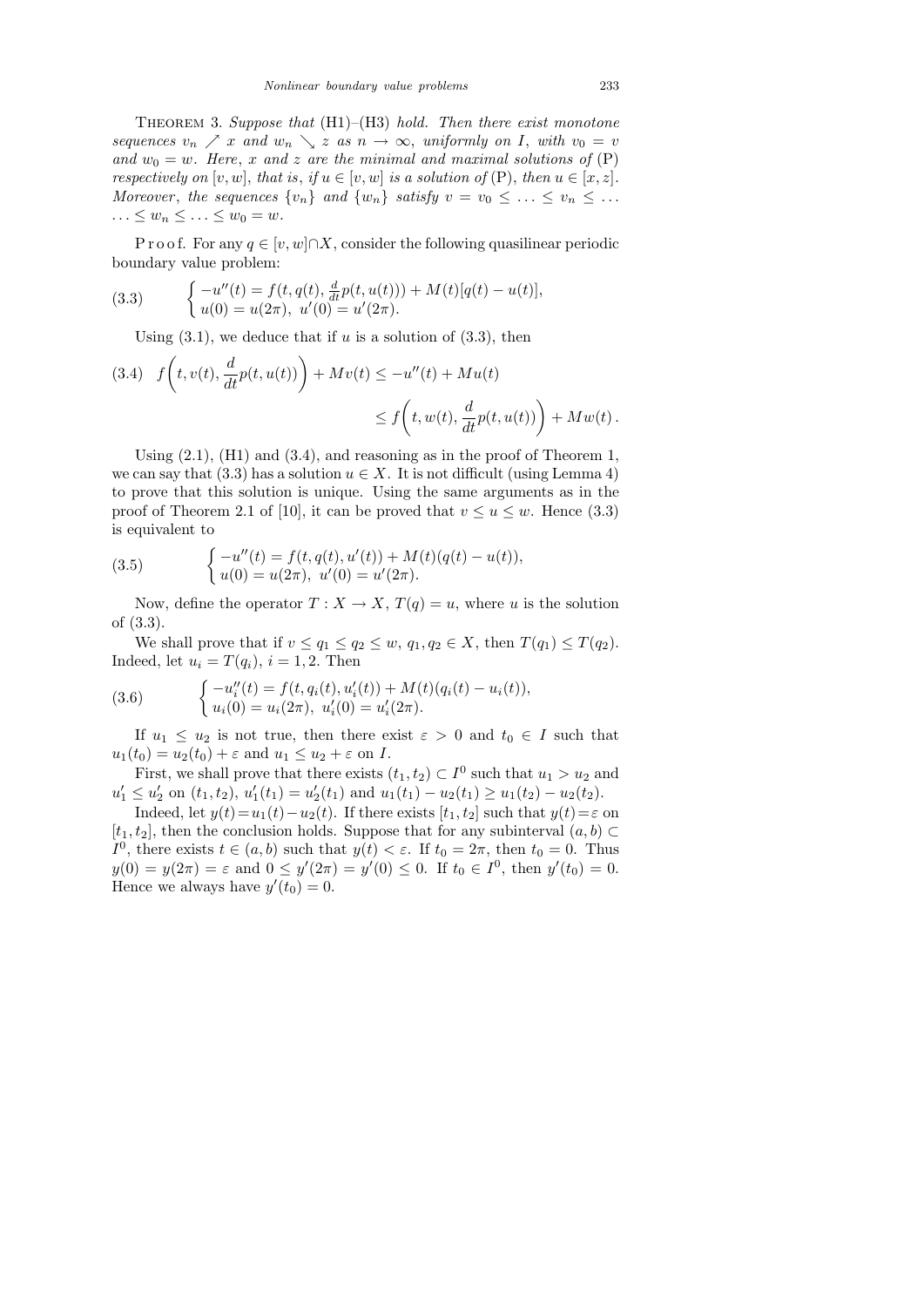THEOREM 3. Suppose that  $(H1)–(H3)$  hold. Then there exist monotone sequences  $v_n \nearrow x$  and  $w_n \searrow z$  as  $n \to \infty$ , uniformly on I, with  $v_0 = v$ and  $w_0 = w$ . Here, x and z are the minimal and maximal solutions of  $(P)$ respectively on  $[v, w]$ , that is, if  $u \in [v, w]$  is a solution of  $(P)$ , then  $u \in [x, z]$ . Moreover, the sequences  $\{v_n\}$  and  $\{w_n\}$  satisfy  $v = v_0 \leq \ldots \leq v_n \leq \ldots$  $\ldots \leq w_n \leq \ldots \leq w_0 = w.$ 

P r o o f. For any  $q \in [v, w] \cap X$ , consider the following quasilinear periodic boundary value problem:

(3.3) 
$$
\begin{cases}\n-u''(t) = f(t, q(t), \frac{d}{dt}p(t, u(t))) + M(t)[q(t) - u(t)], \\
u(0) = u(2\pi), u'(0) = u'(2\pi).\n\end{cases}
$$

Using  $(3.1)$ , we deduce that if u is a solution of  $(3.3)$ , then

(3.4) 
$$
f\left(t, v(t), \frac{d}{dt}p(t, u(t))\right) + M v(t) \leq -u''(t) + M u(t)
$$

$$
\leq f\left(t, w(t), \frac{d}{dt}p(t, u(t))\right) + M w(t).
$$

Using  $(2.1)$ ,  $(H1)$  and  $(3.4)$ , and reasoning as in the proof of Theorem 1, we can say that (3.3) has a solution  $u \in X$ . It is not difficult (using Lemma 4) to prove that this solution is unique. Using the same arguments as in the proof of Theorem 2.1 of [10], it can be proved that  $v \le u \le w$ . Hence (3.3) is equivalent to

(3.5) 
$$
\begin{cases}\n-u''(t) = f(t, q(t), u'(t)) + M(t)(q(t) - u(t)), \\
u(0) = u(2\pi), u'(0) = u'(2\pi).\n\end{cases}
$$

Now, define the operator  $T: X \to X$ ,  $T(q) = u$ , where u is the solution of (3.3).

We shall prove that if  $v \le q_1 \le q_2 \le w$ ,  $q_1, q_2 \in X$ , then  $T(q_1) \le T(q_2)$ . Indeed, let  $u_i = T(q_i)$ ,  $i = 1, 2$ . Then

(3.6) 
$$
\begin{cases}\n-u''_i(t) = f(t, q_i(t), u'_i(t)) + M(t)(q_i(t) - u_i(t)), \\
u_i(0) = u_i(2\pi), u'_i(0) = u'_i(2\pi).\n\end{cases}
$$

If  $u_1 \leq u_2$  is not true, then there exist  $\varepsilon > 0$  and  $t_0 \in I$  such that  $u_1(t_0) = u_2(t_0) + \varepsilon$  and  $u_1 \le u_2 + \varepsilon$  on I.

First, we shall prove that there exists  $(t_1, t_2) \subset I^0$  such that  $u_1 > u_2$  and  $u'_1 \le u'_2$  on  $(t_1, t_2)$ ,  $u'_1(t_1) = u'_2(t_1)$  and  $u_1(t_1) - u_2(t_1) \ge u_1(t_2) - u_2(t_2)$ .

Indeed, let  $y(t)=u_1(t)-u_2(t)$ . If there exists  $[t_1, t_2]$  such that  $y(t)=\varepsilon$  on [t<sub>1</sub>, t<sub>2</sub>], then the conclusion holds. Suppose that for any subinterval  $(a, b)$  $I^0$ , there exists  $t \in (a, b)$  such that  $y(t) < \varepsilon$ . If  $t_0 = 2\pi$ , then  $t_0 = 0$ . Thus  $y(0) = y(2\pi) = \varepsilon$  and  $0 \le y'(2\pi) = y'(0) \le 0$ . If  $t_0 \in I^0$ , then  $y'(t_0) = 0$ . Hence we always have  $y'(t_0) = 0$ .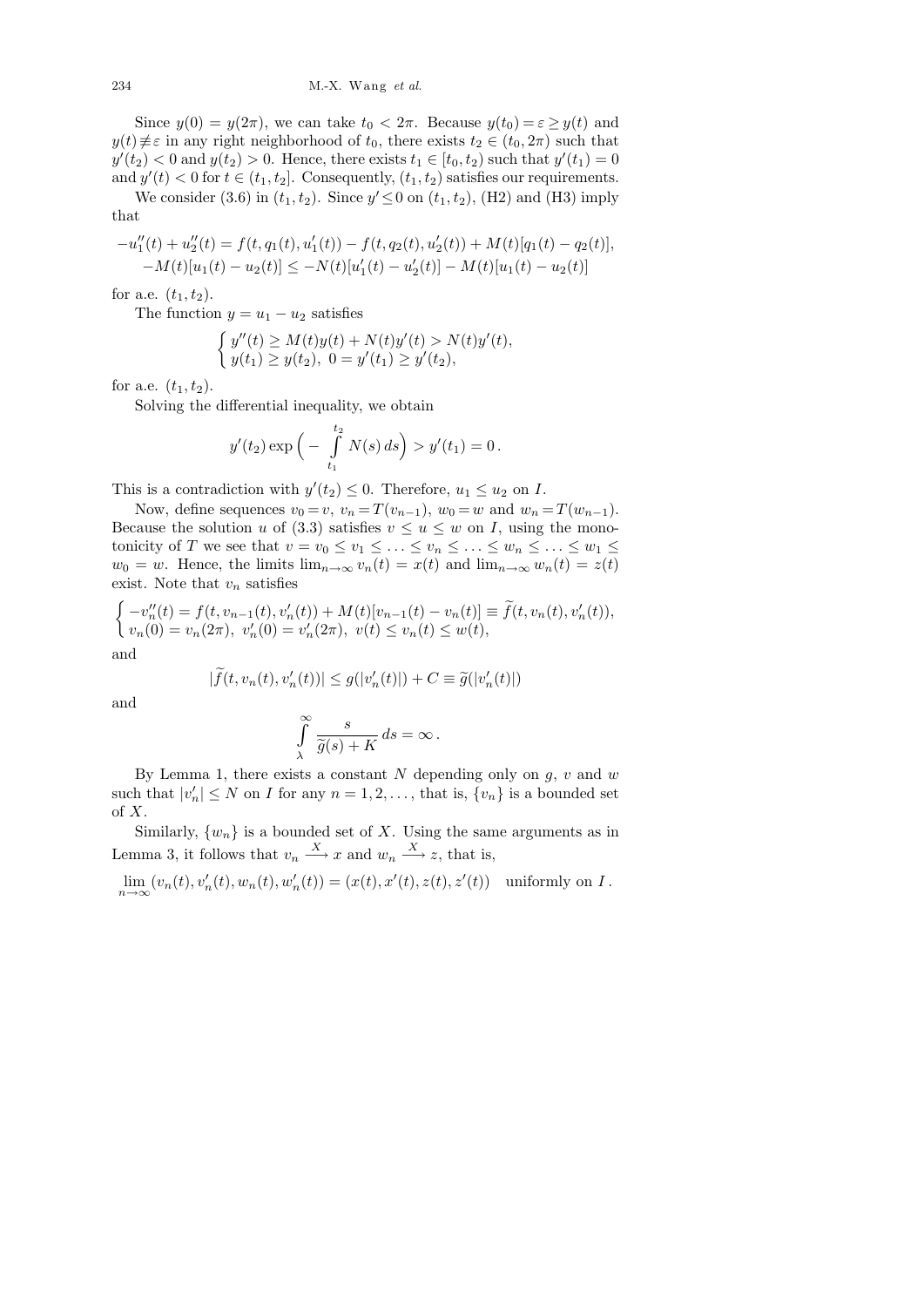Since  $y(0) = y(2\pi)$ , we can take  $t_0 < 2\pi$ . Because  $y(t_0) = \varepsilon \ge y(t)$  and  $y(t) \neq \varepsilon$  in any right neighborhood of  $t_0$ , there exists  $t_2 \in (t_0, 2\pi)$  such that  $y'(t_2) < 0$  and  $y(t_2) > 0$ . Hence, there exists  $t_1 \in [t_0, t_2)$  such that  $y'(t_1) = 0$ and  $y'(t) < 0$  for  $t \in (t_1, t_2]$ . Consequently,  $(t_1, t_2)$  satisfies our requirements.

We consider (3.6) in  $(t_1, t_2)$ . Since  $y' \le 0$  on  $(t_1, t_2)$ , (H2) and (H3) imply that

$$
-u''_1(t) + u''_2(t) = f(t, q_1(t), u'_1(t)) - f(t, q_2(t), u'_2(t)) + M(t)[q_1(t) - q_2(t)],
$$
  

$$
-M(t)[u_1(t) - u_2(t)] \le -N(t)[u'_1(t) - u'_2(t)] - M(t)[u_1(t) - u_2(t)]
$$

for a.e.  $(t_1, t_2)$ .

The function  $y = u_1 - u_2$  satisfies

$$
\begin{cases} y''(t) \ge M(t)y(t) + N(t)y'(t) > N(t)y'(t), \\ y(t_1) \ge y(t_2), \ 0 = y'(t_1) \ge y'(t_2), \end{cases}
$$

for a.e.  $(t_1, t_2)$ .

Solving the differential inequality, we obtain

$$
y'(t_2) \exp\left(-\int_{t_1}^{t_2} N(s) ds\right) > y'(t_1) = 0.
$$

This is a contradiction with  $y'(t_2) \leq 0$ . Therefore,  $u_1 \leq u_2$  on I.

Now, define sequences  $v_0 = v$ ,  $v_n = T(v_{n-1})$ ,  $w_0 = w$  and  $w_n = T(w_{n-1})$ . Because the solution u of (3.3) satisfies  $v \le u \le w$  on I, using the monotonicity of T we see that  $v = v_0 \le v_1 \le \ldots \le v_n \le \ldots \le w_n \le \ldots \le w_1 \le$  $w_0 = w$ . Hence, the limits  $\lim_{n\to\infty} v_n(t) = x(t)$  and  $\lim_{n\to\infty} w_n(t) = z(t)$ exist. Note that  $v_n$  satisfies

$$
\begin{cases}\n-v''_n(t) = f(t, v_{n-1}(t), v'_n(t)) + M(t)[v_{n-1}(t) - v_n(t)] \equiv \widetilde{f}(t, v_n(t), v'_n(t)), \\
v_n(0) = v_n(2\pi), v'_n(0) = v'_n(2\pi), v(t) \le v_n(t) \le w(t),\n\end{cases}
$$

and

$$
|\widetilde{f}(t, v_n(t), v'_n(t))| \le g(|v'_n(t)|) + C \equiv \widetilde{g}(|v'_n(t)|)
$$

and

$$
\int\limits_\lambda^\infty\frac{s}{\widetilde g(s)+K}\,ds=\infty\,.
$$

By Lemma 1, there exists a constant N depending only on  $g, v$  and w such that  $|v'_n| \leq N$  on I for any  $n = 1, 2, \ldots$ , that is,  $\{v_n\}$  is a bounded set of X.

Similarly,  $\{w_n\}$  is a bounded set of X. Using the same arguments as in Lemma 3, it follows that  $v_n \xrightarrow{X} x$  and  $w_n \xrightarrow{X} z$ , that is,

 $\lim_{n \to \infty} (v_n(t), v'_n(t), w_n(t), w'_n(t)) = (x(t), x'(t), z(t), z'(t))$  uniformly on I.